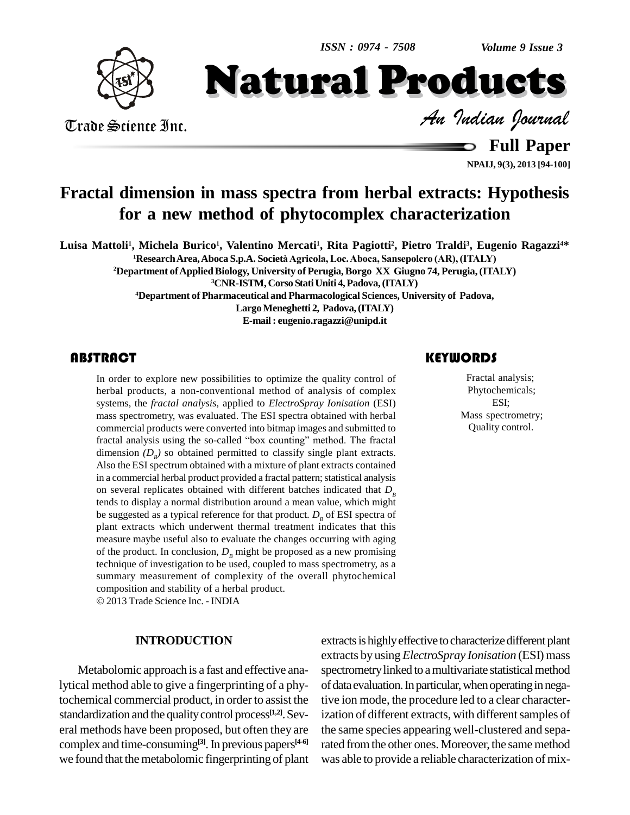

Trade Science Inc. Trade Science Inc. *Indian Journal*

Natural Products

**Full Paper**

**NPAIJ, 9(3), 2013 [94-100]**

## **Fractal dimension in mass spectra from herbal extracts: Hypothesis for a new method of phytocomplex characterization**

Luisa Mattoli<sup>1</sup>, Michela Burico<sup>1</sup>, Valentino Mercati<sup>1</sup>, Rita Pagiotti<sup>2</sup>, Pietro Traldi<sup>3</sup>, Eugenio Ragazzi<sup>4</sup>\* **<sup>1</sup>ResearchArea,Aboca S.p.A. Societ‡Agricola, Loc.Aboca, Sansepolcro (AR),(ITALY)**

**<sup>2</sup>Department ofAppliedBiology, University of Perugia,Borgo XX Giugno 74, Perugia, (ITALY)**

**<sup>3</sup>CNR-ISTM, Corso StatiUniti 4,Padova,(ITALY)**

**<sup>4</sup>Department of Pharmaceutical and Pharmacological Sciences, University of Padova,**

**LargoMeneghetti 2, Padova,(ITALY) E-mail: [eugenio.ragazzi@unipd.it](mailto:eugenio.ragazzi@unipd.it)**

### **ABSTRACT**

The other to explore new possibilities to optimize the quality control of Fractal analysis;<br>herbal products, a non-conventional method of analysis of complex<br>systems, the *fractal analysis*, applied to *ElectroSpray Ionisa* In order to explore new possibilities to optimize the quality control of herbal products, a non-conventional method of analysis of complex systems, the *fractal analysis*, applied to *ElectroSpray Ionisation* (ESI) mass spectrometry, was evaluated. The ESI spectra obtained with herbal commercial products were converted into bitmap images and submitted to fractal analysis using the so-called "box counting" method. The fractal dimension  $(D_B)$  so obtained permitted to classify single plant extracts. Also the ESI spectrum obtained with a mixture of plant extracts contained in a commercial herbal product provided a fractal pattern; statistical analysis on several replicates obtained with different batches indicated that  $D_B$ tends to display a normal distribution around a mean value, which might be suggested as a typical reference for that product.  $D<sub>B</sub>$  of ESI spectra of plant extracts which underwent thermal treatment indicates that this measure maybe useful also to evaluate the changes occurring with aging of the product. In conclusion,  $D<sub>B</sub>$  might be proposed as a new promising technique of investigation to be used, coupled to mass spectrometry, as a summary measurement of complexity of the overall phytochemical composition and stability of <sup>a</sup> herbal product.

2013 Trade Science Inc. - INDIA

### **INTRODUCTION**

Metabolomic approach is a fast and effective analytical method able to give a fingerprinting of a phytochemical commercial product, in order to assist the standardization and the quality control process<sup>[1,2]</sup>. Sev-<br>izat eral methods have been proposed, but often they are complex and time-consuming<sup>[3]</sup>. In previous papers<sup>[4-6]</sup> ra we found that the metabolomic fingerprinting of plant

### **KEYWORDS**

Fractal analysis; Phytochemicals; ESI; Mass spectrometry; Quality control.

extracts is highly effective to characterize different plant extracts by using *ElectroSpray Ionisation* (ESI) mass spectrometry linked to a multivariate statistical method of data evaluation. In particular, when operating in negative ion mode, the procedure led to a clear characterization of different extracts, with different samples of the same species appearing well-clustered and separated from the other ones. Moreover, the same method was able to provide a reliable characterization of mix-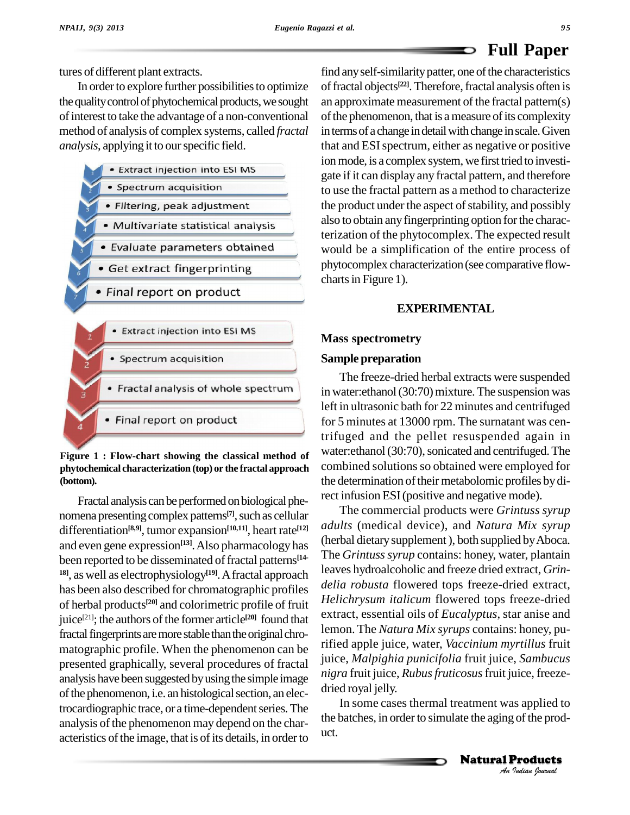### **Full Paper** D

tures of different plant extracts.

In order to explore further possibilities to optimize the quality control of phytochemical products, we sought ofinterest to take the advantage of a non-conventional method of analysis of complex systems, called *fractal analysis*, applying it to ourspecific field.



### **Figure 1 : Flow-chart showing the classical method of phytochemical characterization (top) or the fractal approach (bottom).**

Fractal analysis can be performed on biological phenomena presenting complex patterns<sup>[7]</sup>, such as cellular differentiation<sup>[8,9]</sup>, tumor expansion<sup>[10,11]</sup>, heart rate<sup>[12]</sup> and even gene expression<sup>[13]</sup>. Also pharmacology has then been reported to be disseminated of fractal patterns<sup>[14-11</sup>] <sup>18]</sup>, as well as electrophysiology<sup>[19]</sup>. A fractal approach has been also described for chromatographic profiles of herbal products<sup>[20]</sup> and colorimetric profile of fruit <sup>re-</sup> juice<sup>[21]</sup>; the authors of the former article<sup>[20]</sup> found that  $\frac{ex}{1}$ fractal fingerprints are more stable than the original chromatographic profile. When the phenomenon can be presented graphically, several procedures of fractal analysis have been suggested by using the simple image of the phenomenon, i.e. an histological section, an electrocardiographic trace, or a time-dependent series. The analysis of the phenomenon may depend on the characteristics of the image, that is of its details, in order to

find any self-similarity patter, one of the characteristics of fractal objects<sup>[22]</sup>. Therefore, fractal analysis often is an approximate measurement of the fractal pattern $(s)$ of the phenomenon, that is a measure of its complexity in terms of a change in detail with change in scale. Given that and ESIspectrum, either as negative or positive ion mode, is a complex system, we first tried to investigate if it can display any fractal pattern, and therefore to use the fractal pattern as a method to characterize the product under the aspect of stability, and possibly also to obtain anyfingerprinting option forthe characterization of the phytocomplex. The expected result would be a simplification of the entire process of phytocomplex characterization(see comparative flow charts in Figure 1).

### **EXPERIMENTAL**

### **Mass spectrometry**

### **Sample preparation**

The freeze-dried herbal extracts were suspended in water: ethanol (30:70) mixture. The suspension was left in ultrasonic bath for 22 minutes and centrifuged for 5 minutes at 13000 rpm. The surnatant was centrifuged and the pellet resuspended again in water: ethanol (30:70), sonicated and centrifuged. The combined solutions so obtained were employed for the determination of their metabolomic profiles by direct infusion ESI(positive and negative mode).

*An*The commercial products were *Grintuss syrup adults* (medical device), and *Natura Mix syrup* (herbal dietarysupplement), both supplied byAboca. The *Grintuss syrup* contains: honey, water, plantain leaves hydroalcoholic and freeze dried extract, *Grin delia robusta* flowered tops freeze-dried extract, *Helichrysum italicum* flowered tops freeze-dried extract, essential oils of *Eucalyptus*, star anise and lemon. The *Natura Mix syrups* contains: honey, purified apple juice, water, *Vaccinium myrtillus* fruit juice, *Malpighia punicifolia* fruit juice, *Sambucus nigra* fruit juice, *Rubusfruticosus*fruit juice, freeze dried royal jelly.

**IS** applied to<br>**Products**<br>Products In some cases thermal treatment was applied to the batches, in order to simulate the aging of the product.

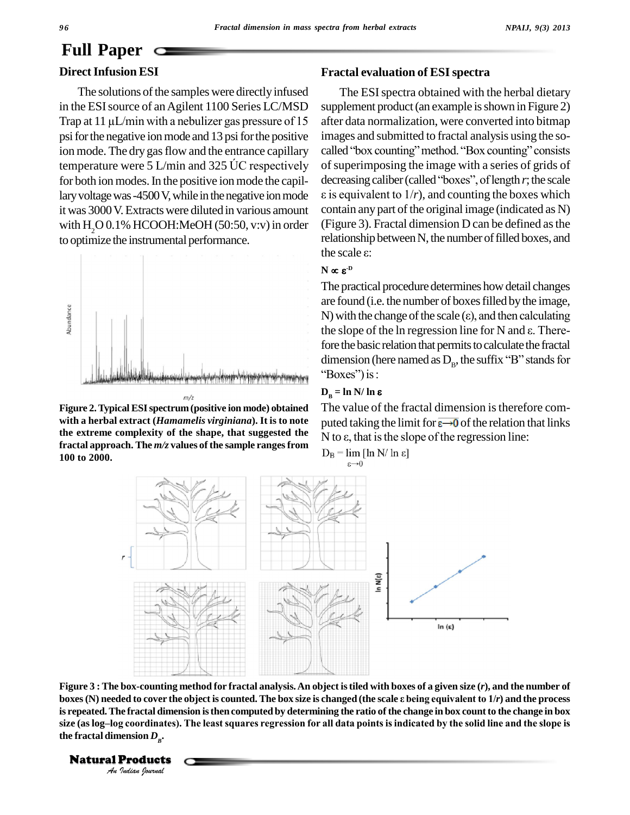# **Full Paper**

### **Direct Infusion ESI**

The solutions of the samples were directly infused<br>in the ESI source of an Agilent 1100 Series LC/MSD suppler<br>Trap at 11 µL/min with a nebulizer gas pressure of 15 after da in the ESI source of an Agilent 1100 Series LC/MSD psi for the negative ion mode and 13 psi for the positive ion mode. The dry gas flow and the entrance capillary called "box counting" method. "Box counting" consists temperature were  $5$  L/min and 325  $\overline{C}$  respectively for both ion modes. In the positive ion mode the capillary voltage was -4500 V, while in the negative ion mode  $\varepsilon$  is equivalent to  $1/r$ ), and counting the boxes which it was 3000V.Extractswere diluted in various amount with  $H<sub>2</sub>O 0.1% HCOOH$ :MeOH (50:50, v:v) in order to optimize the instrumental performance.



**Figure 2.Typical ESIspectrum (positive ion mode) obtained with a herbal extract (***Hamamelis virginiana***). It is to note the extreme complexity of the shape, that suggested the**  $N$  to  $\varepsilon$ , that is the slope of the regression line: **fractal approach.** The  $m/z$  values of the sample ranges from  $D_B = \lim_{z \to 0} [\ln N / \ln \epsilon]$ **100 to 2000.**

### **Fractal evaluation of ESIspectra**

The ESI spectra obtained with the herbal dietary supplement product (an example is shown in Figure 2) after data normalization, were converted into bitmap<br>images and submitted to fractal analysis using the so-<br>called "box counting" method. "Box counting" consists images and submitted to fractal analysis using the so of superimposing the image with a series of grids of called "box counting" method. "Box counting" consists<br>of superimposing the image with a series of grids of<br>decreasing caliber (called "boxes", of length *r*; the scale of superimposing the image with a series of grids of<br>decreasing caliber (called "boxes", of length  $r$ ; the scale<br> $\varepsilon$  is equivalent to  $1/r$ ), and counting the boxes which contain any part of the original image (indicated as N) (Figure 3). Fractal dimension D can be defined as the relationship between N, the number of filled boxes, and the scale  $\varepsilon$ : relationship between N, the number of filled boxes, and the scale  $\varepsilon$ :

### $N \propto \varepsilon^{D}$

The practical procedure determines howdetail changes are found (i.e. the number of boxes filled by the image,<br>N) with the change of the scale ( $\varepsilon$ ), and then calculating<br>the slope of the ln regression line for N and  $\varepsilon$ . There-N) with the change of the scale  $(\epsilon)$ , and then calculating fore the basic relation that permits to calculate the fractal the slope of the ln regression line for N and  $\varepsilon$ . Therefore the basic relation that permits to calculate the fractal dimension (here named as  $D_{\rm B}$ , the suffix "B" stands for " $\text{Boxes}$ " $\text{cis}$  is:<br> $\text{D}_p = \ln \text{N} / \ln \epsilon$ 

The value of the fractal dimension is therefore com-<br>puted taking the limit for  $\overline{\epsilon \rightarrow 0}$  of the relation that links<br>N to  $\epsilon$ , that is the slope of the regression line: puted taking the limit for  $\epsilon \rightarrow 0$  of the relation that links



Figure 3 : The box-counting method for fractal analysis. An object is tiled with boxes of a given size (r), and the number of *Indian*<br>**Indian**<br>**I** *Indianal***<br>
<b>I C** *Indian*<br> **Products**<br> *Indian Iournal* boxes (N) needed to cover the object is counted. The box size is changed (the scale  $\varepsilon$  being equivalent to  $1/r$ ) and the process is repeated. The fractal dimension is then computed by determining the ratio of the change in box count to the change in box boxes (N) needed to cover the object is counted. The box size is changed (the scale ε being equivalent to 1/r) and the process<br>is repeated. The fractal dimension is then computed by determining the ratio of the change in the fractal dimension  $D_{\scriptscriptstyle B}$ .

### **Natural Products**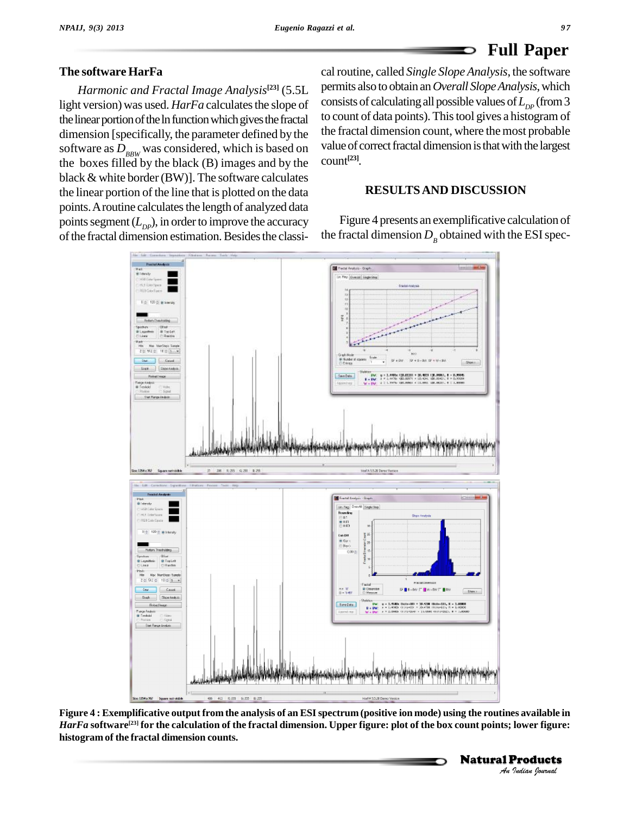### **Full Paper** D

### **The software HarFa**

*Harmonic and Fractal Image Analysis* **[23]** (5.5L light version) was used. *HarFa* calculates the slope of the linear portion of the ln function which gives the fractal dimension [specifically, the parameter defined by the software as  $D_{BBW}$  was considered, which is based on the boxes filled by the black (B) images and by the black  $&$  white border (BW)]. The software calculates the linear portion of the line that is plotted on the data points. A routine calculates the length of analyzed data points segment  $(L_{DP})$ , in order to improve the accuracy Fig. of the fractal dimension estimation. Besides the classi-

cal routine, called *Single Slope Analysis*, the software permits also to obtain an*Overall SlopeAnalysis*,which consists of calculating all possible values of  $L_{\textit{DP}}^{\text{}}\left(\text{from}~3\right)$ to count of data points). Thistool gives a histogram of the fractal dimension count, where the most probable value of correct fractal dimension is that with the largest count **[23]***.*

### **RESULTSAND DISCUSSION**

Figure 4 presents an exemplificative calculation of the fractal dimension  $D<sub>B</sub>$  obtained with the ESI spec-



*Indiana*<br>*I*ower figure:<br>Products Figure 4 : Exemplificative output from the analysis of an ESI spectrum (positive ion mode) using the routines available in  $HarFa$  software $^{[23]}$  for the calculation of the fractal dimension. Upper figure: plot of the box count points; lower figure: **histogram of the fractal dimension counts.**

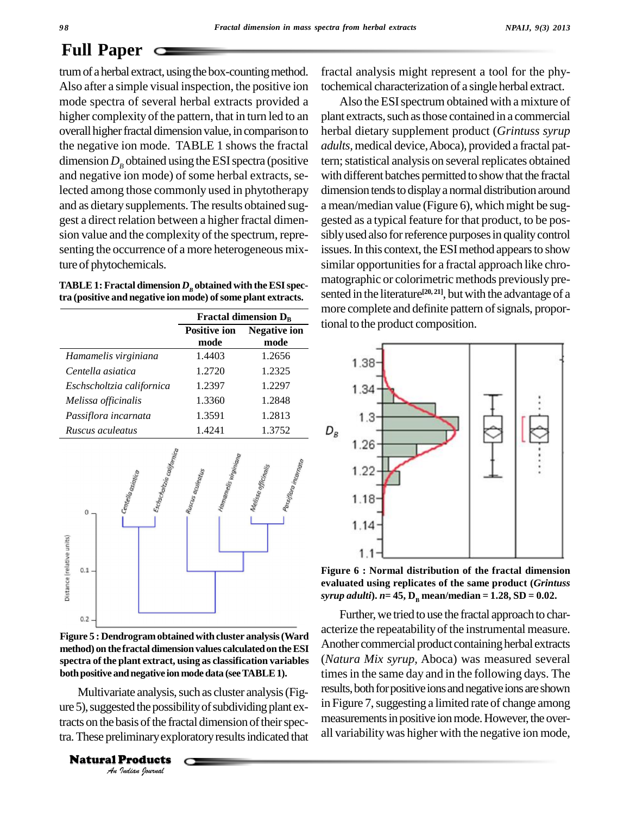# **Full Paper**

trum of a herbal extract, using the box-counting method. Also after a simple visual inspection, the positive ion mode spectra of several herbal extracts provided a higher complexity of the pattern, that in turn led to an overall higher fractal dimension value, in comparison to the negative ion mode. TABLE 1 shows the fractal dimension  $D<sub>B</sub>$  obtained using the ESI spectra (positive and negative ion mode) of some herbal extracts, selected among those commonly used in phytotherapy and as dietary supplements. The results obtained sug gest a direct relation between a higher fractal dimen sion value and the complexity of the spectrum, representing the occurrence of a more heterogeneous mixture of phytochemicals.

| TABLE 1: Fractal dimension $Dn$ obtained with the ESI spec-  |  |
|--------------------------------------------------------------|--|
| tra (positive and negative ion mode) of some plant extracts. |  |

|                           | Fractal dimension $D_B$     |                             |
|---------------------------|-----------------------------|-----------------------------|
|                           | <b>Positive ion</b><br>mode | <b>Negative ion</b><br>mode |
| Hamamelis virginiana      | 1.4403                      | 1.2656                      |
| Centella asiatica         | 1.2720                      | 1.2325                      |
| Eschscholtzia californica | 1.2397                      | 1.2297                      |
| Melissa officinalis       | 1.3360                      | 1.2848                      |
| Passiflora incarnata      | 1.3591                      | 1.2813                      |
| Ruscus aculeatus          | 1.4241                      | 1.3752                      |



**Figure 5 : Dendrogramobtained with cluster analysis(Ward method) on the fractal dimensionvalues calculatedon theESI spectra ofthe plant extract, using as classification variables bothpositive andnegative ion mode data (seeTABLE1).**

Multivariate analysis, such as cluster analysis (Fig-*Indiane*<br>*Indiane*<br>*Indiane*<br>**Products**<br>*Indian Iournal* ure 5), suggested the possibility of subdividing plant extracts on the basis of the fractal dimension of their spectra.These preliminaryexploratoryresultsindicated that

**Natural Products** 

fractal analysis might represent a tool for the phytochemical characterization of a single herbal extract.

Also the ESI spectrum obtained with a mixture of plant extracts, such as those contained in a commercial herbal dietary supplement product (*Grintuss syrup adults,*medical device,Aboca), provided a fractal pattern; statistical analysis on several replicates obtained with different batches permitted to showthat the fractal dimension tends to display a normal distribution around a mean/median value (Figure 6), which might be suggested as a typical feature for that product, to be pos sibly used also for reference purposes in quality control issues. In this context, the ESI method appears to show similar opportunities for a fractal approach like chromatographic or colorimetric methods previously presented in the literature **[20, 21]**, butwith the advantage of a more complete and definite pattern of signals, proportional to the product composition.



**Figure 6 : Normal distribution of the fractal dimension evaluated using replicates of the same product (***Grintuss*  $syrup$  *adulti*).  $n=45$ ,  $D_p$  mean/median = 1.28, SD = 0.02.

Further, we tried to use the fractal approach to characterize the repeatability of the instrumental measure. Another commercial product containing herbal extracts (*Natura Mix syrup,* Aboca) was measured several times in the same day and in the following days. The results, both for positive ions and negative ions are shown in Figure 7, suggesting a limited rate of change among measurements in positive ion mode. However, the overall variabilitywas higher with the negative ion mode,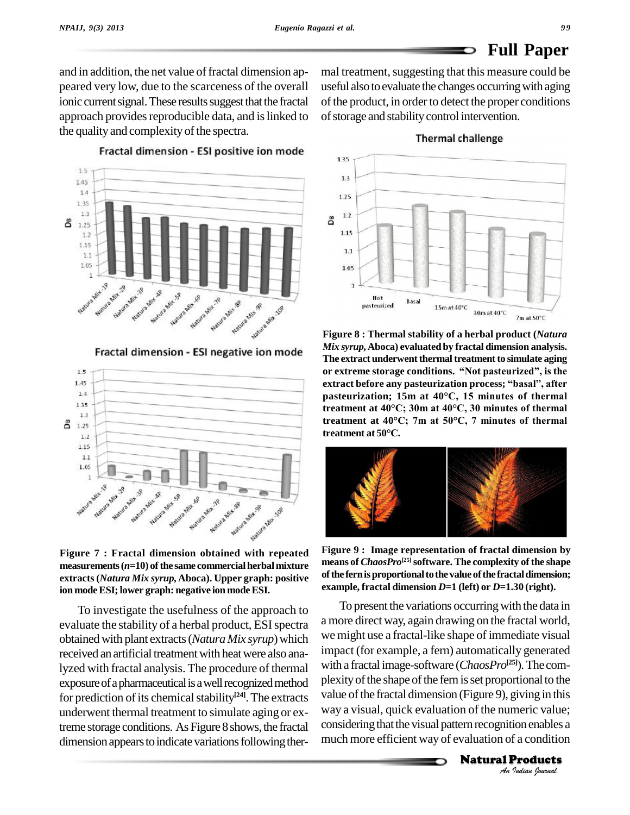### **Full Paper** D

and in addition, the net value of fractal dimension appeared very low, due to the scarceness of the overall ionic current signal. These results suggest that the fractal approach provides reproducible data, and is linked to the quality and complexity of the spectra.

mal treatment, suggesting that this measure could be useful also to evaluate the changes occurring with aging of the product, in order to detect the proper conditions of storage and stability control intervention.

 $1.5$  $1.45$  $1.4$ 1.35  $1.3$ ది 1.25  $1.2$ 1.15  $1.1\,$ 1.05 Nature Mature Suns Mit 28 Water Mary 30 Watura Mary Nature Mary 19 Nature Mary 18 Natura Mit Natura Mix 48 Nature My SR Notified & Miles 2019

Fractal dimension - ESI positive ion mode

Fractal dimension - ESI negative ion mode



**Figure 7 : Fractal dimension obtained with repeated**  $measurable( $n=10$ ) of the same commercial herbal mixture$ **extracts(***Natura Mix syrup,***Aboca). Upper graph: positive ion modeESI;lower graph: negative ion modeESI.**

To investigate the usefulness of the approach to evaluate the stability of a herbal product, ESI spectra obtained with plant extracts(*Natura Mix syrup*)which received an artificial treatment with heat were also analyzed with fractal analysis. The procedure of thermal exposure of a pharmaceutical is a well recognized method for prediction of its chemical stability<sup>[24]</sup>. The extracts value underwent thermal treatment to simulate aging or extreme storage conditions. As Figure 8 shows, the fractal dimension appears to indicate variations following ther-



**Figure 8 : Thermal stability of a herbal product (***Natura Mix syrup,***Aboca) evaluated by fractal dimension analysis. The extract underwent thermal treatment to simulate aging** *Mix syrup,* Aboca) evaluated by fractal dimension analysis.<br>The extract underwent thermal treatment to simulate aging<br>or extreme storage conditions. "Not pasteurized", is the The extract underwent thermal treatment to simulate aging<br>or extreme storage conditions. "Not pasteurized", is the<br>extract before any pasteurization process; "basal", after or extreme storage conditions. "Not pasteurized", is the<br>extract before any pasteurization process; "basal", after<br>pasteurization; 15m at 40°C, 15 minutes of thermal **treatment at <sup>40</sup>°C; 30m at 40°C, <sup>30</sup> minutes of thermal treatment at <sup>40</sup>°C; 7m at 50°C, <sup>7</sup> minutes of thermal treatment at 40°C; 30**<br>**treatment at 40°C;** 71<br>**treatment at 50°C.** 



**Figure 9 : Image representation of fractal dimension by means of** *ChaosPro* **[25]software. The complexity of the shape ofthe fernisproportionaltothe value ofthe fractaldimension; example,** fractal dimension  $D=1$  (left) or  $D=1.30$  (right).

plexity of the shape of the fern is set proportional to the *Indian Io the*<br>*Indian Indian*<br>*Indian*<br>**Products**<br>*Indian Indian* To present the variations occurring with the data in a more direct way, again drawing on the fractal world, we might use a fractal-like shape of immediate visual impact (for example, a fern) automatically generated with a fractal image-software (*ChaosPro* **[25]**)*.*The com value of the fractal dimension (Figure 9), giving in this way a visual, quick evaluation of the numeric value; considering that the visual pattern recognition enables a much more efficient way of evaluation of a condition

Natural Products

### **Thermal challenge**